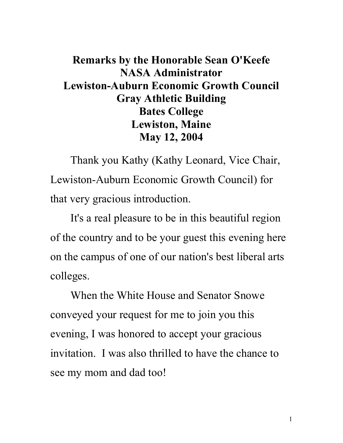## **Remarks by the Honorable Sean O'Keefe NASA Administrator Lewiston-Auburn Economic Growth Council Gray Athletic Building Bates College Lewiston, Maine May 12, 2004**

Thank you Kathy (Kathy Leonard, Vice Chair, Lewiston-Auburn Economic Growth Council) for that very gracious introduction.

It's a real pleasure to be in this beautiful region of the country and to be your guest this evening here on the campus of one of our nation's best liberal arts colleges.

When the White House and Senator Snowe conveyed your request for me to join you this evening, I was honored to accept your gracious invitation. I was also thrilled to have the chance to see my mom and dad too!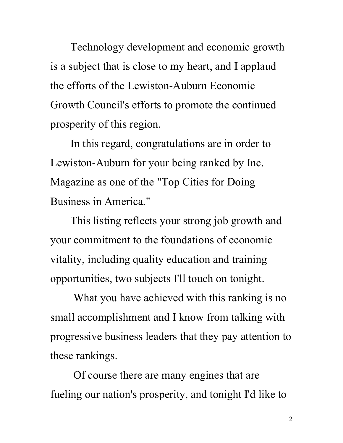Technology development and economic growth is a subject that is close to my heart, and I applaud the efforts of the Lewiston-Auburn Economic Growth Council's efforts to promote the continued prosperity of this region.

In this regard, congratulations are in order to Lewiston-Auburn for your being ranked by Inc. Magazine as one of the "Top Cities for Doing Business in America."

This listing reflects your strong job growth and your commitment to the foundations of economic vitality, including quality education and training opportunities, two subjects I'll touch on tonight.

 What you have achieved with this ranking is no small accomplishment and I know from talking with progressive business leaders that they pay attention to these rankings.

 Of course there are many engines that are fueling our nation's prosperity, and tonight I'd like to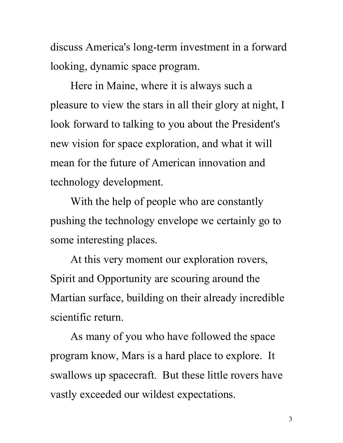discuss America's long-term investment in a forward looking, dynamic space program.

Here in Maine, where it is always such a pleasure to view the stars in all their glory at night, I look forward to talking to you about the President's new vision for space exploration, and what it will mean for the future of American innovation and technology development.

With the help of people who are constantly pushing the technology envelope we certainly go to some interesting places.

At this very moment our exploration rovers, Spirit and Opportunity are scouring around the Martian surface, building on their already incredible scientific return.

As many of you who have followed the space program know, Mars is a hard place to explore. It swallows up spacecraft. But these little rovers have vastly exceeded our wildest expectations.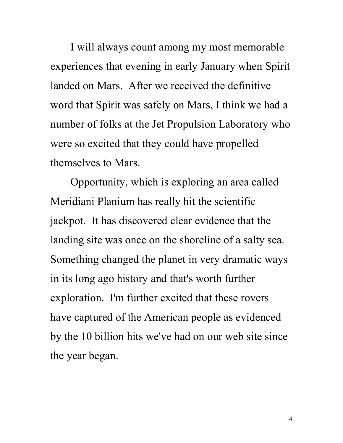I will always count among my most memorable experiences that evening in early January when Spirit landed on Mars. After we received the definitive word that Spirit was safely on Mars, I think we had a number of folks at the Jet Propulsion Laboratory who were so excited that they could have propelled themselves to Mars.

Opportunity, which is exploring an area called Meridiani Planium has really hit the scientific jackpot. It has discovered clear evidence that the landing site was once on the shoreline of a salty sea. Something changed the planet in very dramatic ways in its long ago history and that's worth further exploration. I'm further excited that these rovers have captured of the American people as evidenced by the 10 billion hits we've had on our web site since the year began.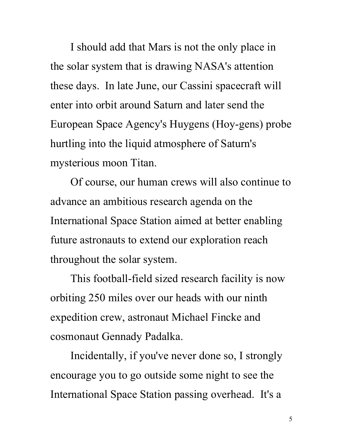I should add that Mars is not the only place in the solar system that is drawing NASA's attention these days. In late June, our Cassini spacecraft will enter into orbit around Saturn and later send the European Space Agency's Huygens (Hoy-gens) probe hurtling into the liquid atmosphere of Saturn's mysterious moon Titan.

Of course, our human crews will also continue to advance an ambitious research agenda on the International Space Station aimed at better enabling future astronauts to extend our exploration reach throughout the solar system.

This football-field sized research facility is now orbiting 250 miles over our heads with our ninth expedition crew, astronaut Michael Fincke and cosmonaut Gennady Padalka.

Incidentally, if you've never done so, I strongly encourage you to go outside some night to see the International Space Station passing overhead. It's a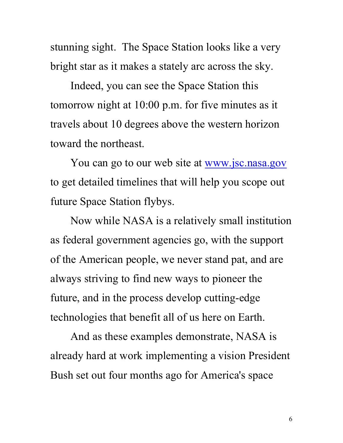stunning sight. The Space Station looks like a very bright star as it makes a stately arc across the sky.

Indeed, you can see the Space Station this tomorrow night at 10:00 p.m. for five minutes as it travels about 10 degrees above the western horizon toward the northeast.

You can go to our web site at [www.jsc.nasa.gov](http://www.jsc.nasa.gov/) to get detailed timelines that will help you scope out future Space Station flybys.

Now while NASA is a relatively small institution as federal government agencies go, with the support of the American people, we never stand pat, and are always striving to find new ways to pioneer the future, and in the process develop cutting-edge technologies that benefit all of us here on Earth.

And as these examples demonstrate, NASA is already hard at work implementing a vision President Bush set out four months ago for America's space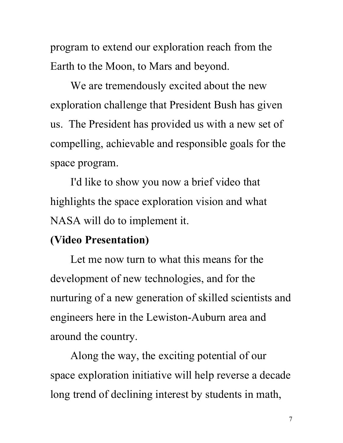program to extend our exploration reach from the Earth to the Moon, to Mars and beyond.

We are tremendously excited about the new exploration challenge that President Bush has given us. The President has provided us with a new set of compelling, achievable and responsible goals for the space program.

I'd like to show you now a brief video that highlights the space exploration vision and what NASA will do to implement it.

## **(Video Presentation)**

Let me now turn to what this means for the development of new technologies, and for the nurturing of a new generation of skilled scientists and engineers here in the Lewiston-Auburn area and around the country.

Along the way, the exciting potential of our space exploration initiative will help reverse a decade long trend of declining interest by students in math,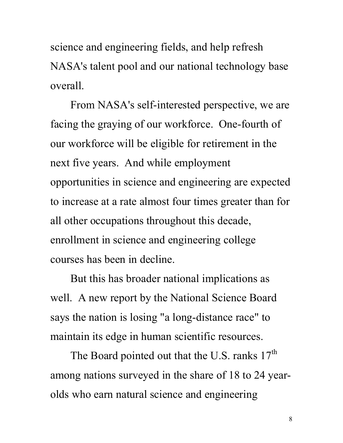science and engineering fields, and help refresh NASA's talent pool and our national technology base overall.

From NASA's self-interested perspective, we are facing the graying of our workforce. One-fourth of our workforce will be eligible for retirement in the next five years. And while employment opportunities in science and engineering are expected to increase at a rate almost four times greater than for all other occupations throughout this decade, enrollment in science and engineering college courses has been in decline.

But this has broader national implications as well. A new report by the National Science Board says the nation is losing "a long-distance race" to maintain its edge in human scientific resources.

The Board pointed out that the U.S. ranks  $17<sup>th</sup>$ among nations surveyed in the share of 18 to 24 yearolds who earn natural science and engineering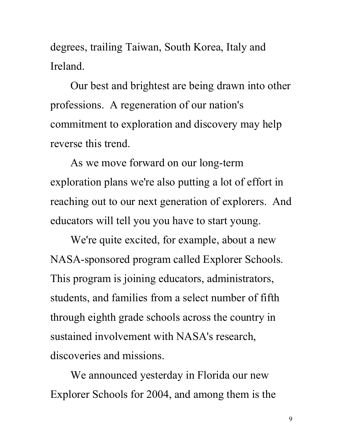degrees, trailing Taiwan, South Korea, Italy and Ireland.

Our best and brightest are being drawn into other professions. A regeneration of our nation's commitment to exploration and discovery may help reverse this trend.

As we move forward on our long-term exploration plans we're also putting a lot of effort in reaching out to our next generation of explorers. And educators will tell you you have to start young.

We're quite excited, for example, about a new NASA-sponsored program called Explorer Schools. This program is joining educators, administrators, students, and families from a select number of fifth through eighth grade schools across the country in sustained involvement with NASA's research, discoveries and missions.

We announced yesterday in Florida our new Explorer Schools for 2004, and among them is the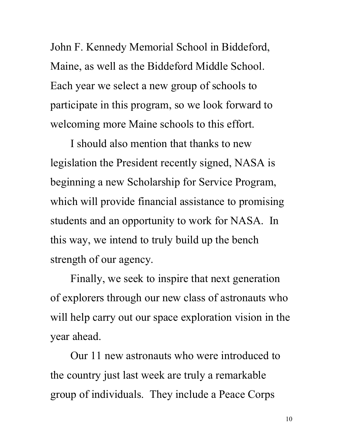John F. Kennedy Memorial School in Biddeford, Maine, as well as the Biddeford Middle School. Each year we select a new group of schools to participate in this program, so we look forward to welcoming more Maine schools to this effort.

I should also mention that thanks to new legislation the President recently signed, NASA is beginning a new Scholarship for Service Program, which will provide financial assistance to promising students and an opportunity to work for NASA. In this way, we intend to truly build up the bench strength of our agency.

Finally, we seek to inspire that next generation of explorers through our new class of astronauts who will help carry out our space exploration vision in the year ahead.

Our 11 new astronauts who were introduced to the country just last week are truly a remarkable group of individuals. They include a Peace Corps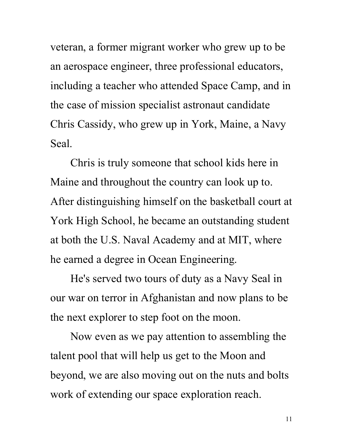veteran, a former migrant worker who grew up to be an aerospace engineer, three professional educators, including a teacher who attended Space Camp, and in the case of mission specialist astronaut candidate Chris Cassidy, who grew up in York, Maine, a Navy Seal.

Chris is truly someone that school kids here in Maine and throughout the country can look up to. After distinguishing himself on the basketball court at York High School, he became an outstanding student at both the U.S. Naval Academy and at MIT, where he earned a degree in Ocean Engineering.

He's served two tours of duty as a Navy Seal in our war on terror in Afghanistan and now plans to be the next explorer to step foot on the moon.

Now even as we pay attention to assembling the talent pool that will help us get to the Moon and beyond, we are also moving out on the nuts and bolts work of extending our space exploration reach.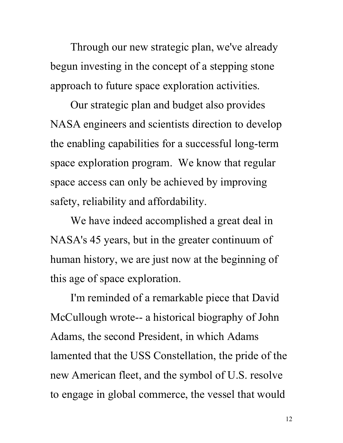Through our new strategic plan, we've already begun investing in the concept of a stepping stone approach to future space exploration activities.

Our strategic plan and budget also provides NASA engineers and scientists direction to develop the enabling capabilities for a successful long-term space exploration program. We know that regular space access can only be achieved by improving safety, reliability and affordability.

We have indeed accomplished a great deal in NASA's 45 years, but in the greater continuum of human history, we are just now at the beginning of this age of space exploration.

I'm reminded of a remarkable piece that David McCullough wrote-- a historical biography of John Adams, the second President, in which Adams lamented that the USS Constellation, the pride of the new American fleet, and the symbol of U.S. resolve to engage in global commerce, the vessel that would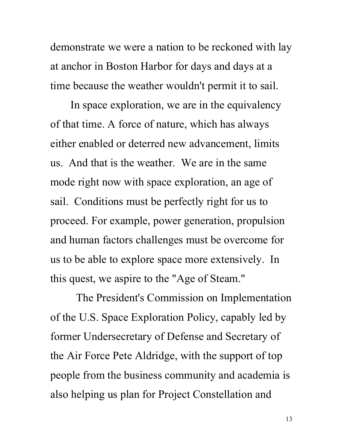demonstrate we were a nation to be reckoned with lay at anchor in Boston Harbor for days and days at a time because the weather wouldn't permit it to sail.

In space exploration, we are in the equivalency of that time. A force of nature, which has always either enabled or deterred new advancement, limits us. And that is the weather. We are in the same mode right now with space exploration, an age of sail. Conditions must be perfectly right for us to proceed. For example, power generation, propulsion and human factors challenges must be overcome for us to be able to explore space more extensively. In this quest, we aspire to the "Age of Steam."

 The President's Commission on Implementation of the U.S. Space Exploration Policy, capably led by former Undersecretary of Defense and Secretary of the Air Force Pete Aldridge, with the support of top people from the business community and academia is also helping us plan for Project Constellation and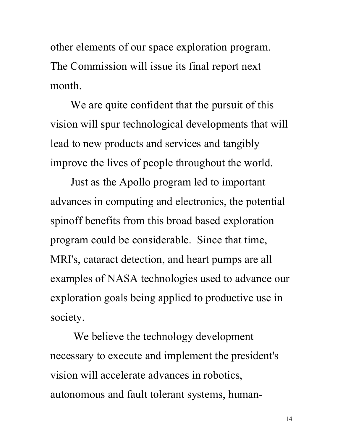other elements of our space exploration program. The Commission will issue its final report next month.

We are quite confident that the pursuit of this vision will spur technological developments that will lead to new products and services and tangibly improve the lives of people throughout the world.

Just as the Apollo program led to important advances in computing and electronics, the potential spinoff benefits from this broad based exploration program could be considerable. Since that time, MRI's, cataract detection, and heart pumps are all examples of NASA technologies used to advance our exploration goals being applied to productive use in society.

 We believe the technology development necessary to execute and implement the president's vision will accelerate advances in robotics, autonomous and fault tolerant systems, human-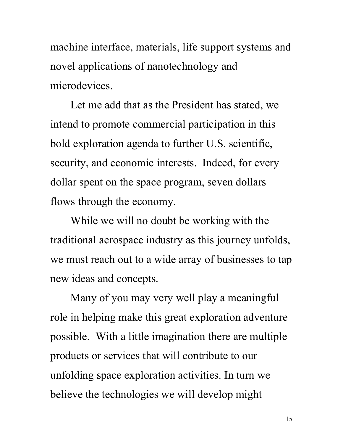machine interface, materials, life support systems and novel applications of nanotechnology and microdevices.

Let me add that as the President has stated, we intend to promote commercial participation in this bold exploration agenda to further U.S. scientific, security, and economic interests. Indeed, for every dollar spent on the space program, seven dollars flows through the economy.

While we will no doubt be working with the traditional aerospace industry as this journey unfolds, we must reach out to a wide array of businesses to tap new ideas and concepts.

Many of you may very well play a meaningful role in helping make this great exploration adventure possible. With a little imagination there are multiple products or services that will contribute to our unfolding space exploration activities. In turn we believe the technologies we will develop might